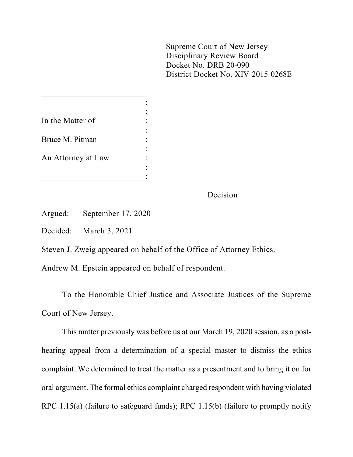Supreme Court of New Jersey Disciplinary Review Board Docket No. DRB 20-090 District Docket No. XIV-2015-0268E

| In the Matter of   |  |
|--------------------|--|
| Bruce M. Pitman    |  |
| An Attorney at Law |  |
|                    |  |

 $\frac{1}{2}$  ,  $\frac{1}{2}$  ,  $\frac{1}{2}$  ,  $\frac{1}{2}$  ,  $\frac{1}{2}$  ,  $\frac{1}{2}$  ,  $\frac{1}{2}$  ,  $\frac{1}{2}$  ,  $\frac{1}{2}$  ,  $\frac{1}{2}$  ,  $\frac{1}{2}$  ,  $\frac{1}{2}$  ,  $\frac{1}{2}$  ,  $\frac{1}{2}$  ,  $\frac{1}{2}$  ,  $\frac{1}{2}$  ,  $\frac{1}{2}$  ,  $\frac{1}{2}$  ,  $\frac{1$ 

Decision

Argued: September 17, 2020

Decided: March 3, 2021

Steven J. Zweig appeared on behalf of the Office of Attorney Ethics.

Andrew M. Epstein appeared on behalf of respondent.

To the Honorable Chief Justice and Associate Justices of the Supreme Court of New Jersey.

This matter previously was before us at our March 19, 2020 session, as a posthearing appeal from a determination of a special master to dismiss the ethics complaint. We determined to treat the matter as a presentment and to bring it on for oral argument. The formal ethics complaint charged respondent with having violated RPC 1.15(a) (failure to safeguard funds); RPC 1.15(b) (failure to promptly notify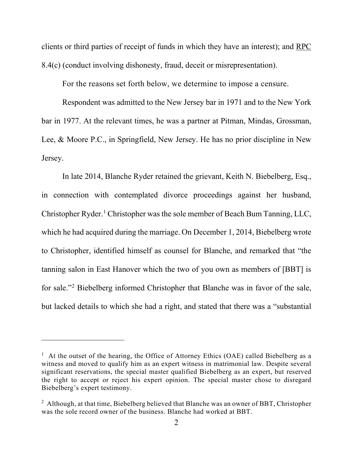clients or third parties of receipt of funds in which they have an interest); and RPC 8.4(c) (conduct involving dishonesty, fraud, deceit or misrepresentation).

For the reasons set forth below, we determine to impose a censure.

Respondent was admitted to the New Jersey bar in 1971 and to the New York bar in 1977. At the relevant times, he was a partner at Pitman, Mindas, Grossman, Lee, & Moore P.C., in Springfield, New Jersey. He has no prior discipline in New Jersey.

In late 2014, Blanche Ryder retained the grievant, Keith N. Biebelberg, Esq., in connection with contemplated divorce proceedings against her husband, Christopher Ryder.[1](#page-1-0) Christopher was the sole member of Beach Bum Tanning, LLC, which he had acquired during the marriage. On December 1, 2014, Biebelberg wrote to Christopher, identified himself as counsel for Blanche, and remarked that "the tanning salon in East Hanover which the two of you own as members of [BBT] is for sale."[2](#page-1-1) Biebelberg informed Christopher that Blanche was in favor of the sale, but lacked details to which she had a right, and stated that there was a "substantial

<span id="page-1-0"></span><sup>&</sup>lt;sup>1</sup> At the outset of the hearing, the Office of Attorney Ethics (OAE) called Biebelberg as a witness and moved to qualify him as an expert witness in matrimonial law. Despite several significant reservations, the special master qualified Biebelberg as an expert, but reserved the right to accept or reject his expert opinion. The special master chose to disregard Biebelberg's expert testimony.

<span id="page-1-1"></span><sup>&</sup>lt;sup>2</sup> Although, at that time, Biebelberg believed that Blanche was an owner of BBT, Christopher was the sole record owner of the business. Blanche had worked at BBT.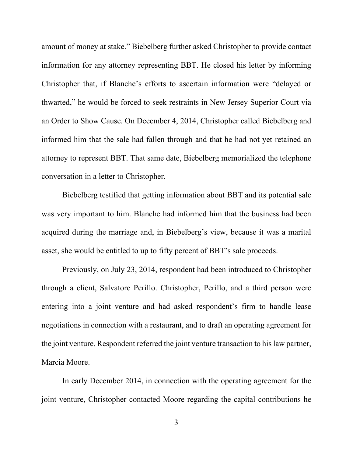amount of money at stake." Biebelberg further asked Christopher to provide contact information for any attorney representing BBT. He closed his letter by informing Christopher that, if Blanche's efforts to ascertain information were "delayed or thwarted," he would be forced to seek restraints in New Jersey Superior Court via an Order to Show Cause. On December 4, 2014, Christopher called Biebelberg and informed him that the sale had fallen through and that he had not yet retained an attorney to represent BBT. That same date, Biebelberg memorialized the telephone conversation in a letter to Christopher.

Biebelberg testified that getting information about BBT and its potential sale was very important to him. Blanche had informed him that the business had been acquired during the marriage and, in Biebelberg's view, because it was a marital asset, she would be entitled to up to fifty percent of BBT's sale proceeds.

Previously, on July 23, 2014, respondent had been introduced to Christopher through a client, Salvatore Perillo. Christopher, Perillo, and a third person were entering into a joint venture and had asked respondent's firm to handle lease negotiations in connection with a restaurant, and to draft an operating agreement for the joint venture. Respondent referred the joint venture transaction to his law partner, Marcia Moore.

In early December 2014, in connection with the operating agreement for the joint venture, Christopher contacted Moore regarding the capital contributions he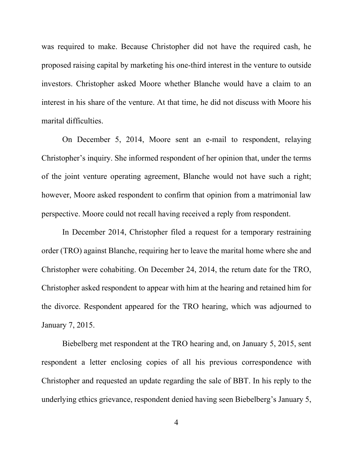was required to make. Because Christopher did not have the required cash, he proposed raising capital by marketing his one-third interest in the venture to outside investors. Christopher asked Moore whether Blanche would have a claim to an interest in his share of the venture. At that time, he did not discuss with Moore his marital difficulties.

On December 5, 2014, Moore sent an e-mail to respondent, relaying Christopher's inquiry. She informed respondent of her opinion that, under the terms of the joint venture operating agreement, Blanche would not have such a right; however, Moore asked respondent to confirm that opinion from a matrimonial law perspective. Moore could not recall having received a reply from respondent.

In December 2014, Christopher filed a request for a temporary restraining order (TRO) against Blanche, requiring her to leave the marital home where she and Christopher were cohabiting. On December 24, 2014, the return date for the TRO, Christopher asked respondent to appear with him at the hearing and retained him for the divorce. Respondent appeared for the TRO hearing, which was adjourned to January 7, 2015.

Biebelberg met respondent at the TRO hearing and, on January 5, 2015, sent respondent a letter enclosing copies of all his previous correspondence with Christopher and requested an update regarding the sale of BBT. In his reply to the underlying ethics grievance, respondent denied having seen Biebelberg's January 5,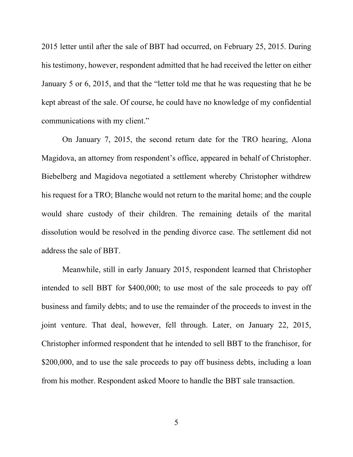2015 letter until after the sale of BBT had occurred, on February 25, 2015. During his testimony, however, respondent admitted that he had received the letter on either January 5 or 6, 2015, and that the "letter told me that he was requesting that he be kept abreast of the sale. Of course, he could have no knowledge of my confidential communications with my client."

On January 7, 2015, the second return date for the TRO hearing, Alona Magidova, an attorney from respondent's office, appeared in behalf of Christopher. Biebelberg and Magidova negotiated a settlement whereby Christopher withdrew his request for a TRO; Blanche would not return to the marital home; and the couple would share custody of their children. The remaining details of the marital dissolution would be resolved in the pending divorce case. The settlement did not address the sale of BBT.

Meanwhile, still in early January 2015, respondent learned that Christopher intended to sell BBT for \$400,000; to use most of the sale proceeds to pay off business and family debts; and to use the remainder of the proceeds to invest in the joint venture. That deal, however, fell through. Later, on January 22, 2015, Christopher informed respondent that he intended to sell BBT to the franchisor, for \$200,000, and to use the sale proceeds to pay off business debts, including a loan from his mother. Respondent asked Moore to handle the BBT sale transaction.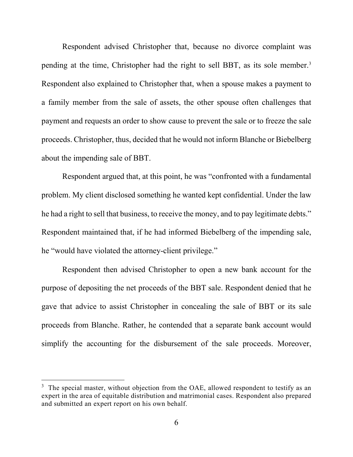Respondent advised Christopher that, because no divorce complaint was pending at the time, Christopher had the right to sell BBT, as its sole member. [3](#page-5-0) Respondent also explained to Christopher that, when a spouse makes a payment to a family member from the sale of assets, the other spouse often challenges that payment and requests an order to show cause to prevent the sale or to freeze the sale proceeds. Christopher, thus, decided that he would not inform Blanche or Biebelberg about the impending sale of BBT.

Respondent argued that, at this point, he was "confronted with a fundamental problem. My client disclosed something he wanted kept confidential. Under the law he had a right to sell that business, to receive the money, and to pay legitimate debts." Respondent maintained that, if he had informed Biebelberg of the impending sale, he "would have violated the attorney-client privilege."

Respondent then advised Christopher to open a new bank account for the purpose of depositing the net proceeds of the BBT sale. Respondent denied that he gave that advice to assist Christopher in concealing the sale of BBT or its sale proceeds from Blanche. Rather, he contended that a separate bank account would simplify the accounting for the disbursement of the sale proceeds. Moreover,

<span id="page-5-0"></span> $3$  The special master, without objection from the OAE, allowed respondent to testify as an expert in the area of equitable distribution and matrimonial cases. Respondent also prepared and submitted an expert report on his own behalf.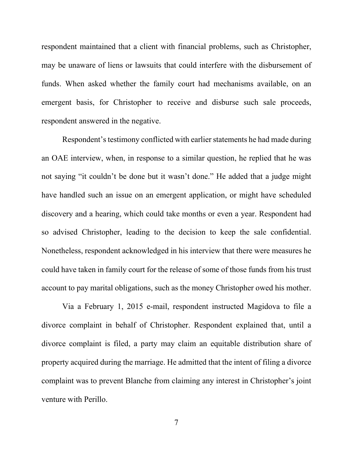respondent maintained that a client with financial problems, such as Christopher, may be unaware of liens or lawsuits that could interfere with the disbursement of funds. When asked whether the family court had mechanisms available, on an emergent basis, for Christopher to receive and disburse such sale proceeds, respondent answered in the negative.

Respondent's testimony conflicted with earlier statements he had made during an OAE interview, when, in response to a similar question, he replied that he was not saying "it couldn't be done but it wasn't done." He added that a judge might have handled such an issue on an emergent application, or might have scheduled discovery and a hearing, which could take months or even a year. Respondent had so advised Christopher, leading to the decision to keep the sale confidential. Nonetheless, respondent acknowledged in his interview that there were measures he could have taken in family court for the release of some of those funds from his trust account to pay marital obligations, such as the money Christopher owed his mother.

Via a February 1, 2015 e-mail, respondent instructed Magidova to file a divorce complaint in behalf of Christopher. Respondent explained that, until a divorce complaint is filed, a party may claim an equitable distribution share of property acquired during the marriage. He admitted that the intent of filing a divorce complaint was to prevent Blanche from claiming any interest in Christopher's joint venture with Perillo.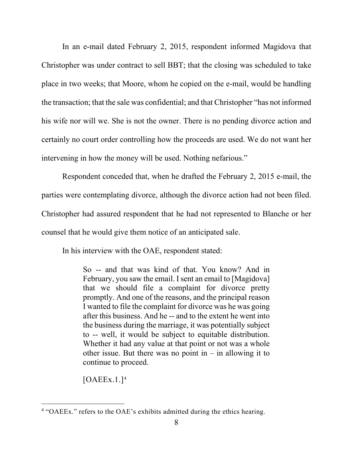In an e-mail dated February 2, 2015, respondent informed Magidova that Christopher was under contract to sell BBT; that the closing was scheduled to take place in two weeks; that Moore, whom he copied on the e-mail, would be handling the transaction; that the sale was confidential; and that Christopher "has not informed his wife nor will we. She is not the owner. There is no pending divorce action and certainly no court order controlling how the proceeds are used. We do not want her intervening in how the money will be used. Nothing nefarious."

Respondent conceded that, when he drafted the February 2, 2015 e-mail, the parties were contemplating divorce, although the divorce action had not been filed. Christopher had assured respondent that he had not represented to Blanche or her counsel that he would give them notice of an anticipated sale.

In his interview with the OAE, respondent stated:

So -- and that was kind of that. You know? And in February, you saw the email. I sent an email to [Magidova] that we should file a complaint for divorce pretty promptly. And one of the reasons, and the principal reason I wanted to file the complaint for divorce was he was going after this business. And he -- and to the extent he went into the business during the marriage, it was potentially subject to -- well, it would be subject to equitable distribution. Whether it had any value at that point or not was a whole other issue. But there was no point in  $-$  in allowing it to continue to proceed.

 $[OAEEx.1.]<sup>4</sup>$  $[OAEEx.1.]<sup>4</sup>$  $[OAEEx.1.]<sup>4</sup>$ 

<span id="page-7-0"></span><sup>4</sup> "OAEEx." refers to the OAE's exhibits admitted during the ethics hearing.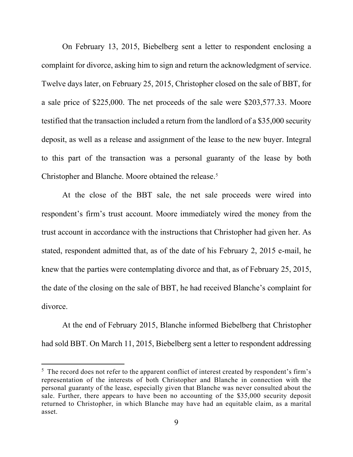On February 13, 2015, Biebelberg sent a letter to respondent enclosing a complaint for divorce, asking him to sign and return the acknowledgment of service. Twelve days later, on February 25, 2015, Christopher closed on the sale of BBT, for a sale price of \$225,000. The net proceeds of the sale were \$203,577.33. Moore testified that the transaction included a return from the landlord of a \$35,000 security deposit, as well as a release and assignment of the lease to the new buyer. Integral to this part of the transaction was a personal guaranty of the lease by both Christopher and Blanche. Moore obtained the release. [5](#page-8-0)

At the close of the BBT sale, the net sale proceeds were wired into respondent's firm's trust account. Moore immediately wired the money from the trust account in accordance with the instructions that Christopher had given her. As stated, respondent admitted that, as of the date of his February 2, 2015 e-mail, he knew that the parties were contemplating divorce and that, as of February 25, 2015, the date of the closing on the sale of BBT, he had received Blanche's complaint for divorce.

At the end of February 2015, Blanche informed Biebelberg that Christopher had sold BBT. On March 11, 2015, Biebelberg sent a letter to respondent addressing

<span id="page-8-0"></span> $5$  The record does not refer to the apparent conflict of interest created by respondent's firm's representation of the interests of both Christopher and Blanche in connection with the personal guaranty of the lease, especially given that Blanche was never consulted about the sale. Further, there appears to have been no accounting of the \$35,000 security deposit returned to Christopher, in which Blanche may have had an equitable claim, as a marital asset.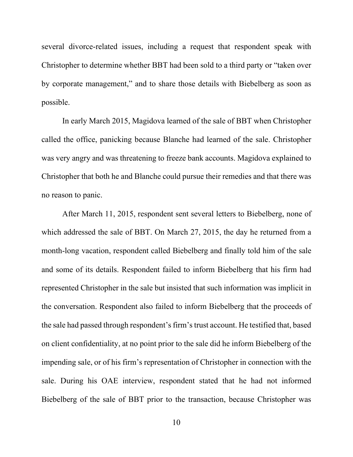several divorce-related issues, including a request that respondent speak with Christopher to determine whether BBT had been sold to a third party or "taken over by corporate management," and to share those details with Biebelberg as soon as possible.

In early March 2015, Magidova learned of the sale of BBT when Christopher called the office, panicking because Blanche had learned of the sale. Christopher was very angry and was threatening to freeze bank accounts. Magidova explained to Christopher that both he and Blanche could pursue their remedies and that there was no reason to panic.

After March 11, 2015, respondent sent several letters to Biebelberg, none of which addressed the sale of BBT. On March 27, 2015, the day he returned from a month-long vacation, respondent called Biebelberg and finally told him of the sale and some of its details. Respondent failed to inform Biebelberg that his firm had represented Christopher in the sale but insisted that such information was implicit in the conversation. Respondent also failed to inform Biebelberg that the proceeds of the sale had passed through respondent's firm's trust account. He testified that, based on client confidentiality, at no point prior to the sale did he inform Biebelberg of the impending sale, or of his firm's representation of Christopher in connection with the sale. During his OAE interview, respondent stated that he had not informed Biebelberg of the sale of BBT prior to the transaction, because Christopher was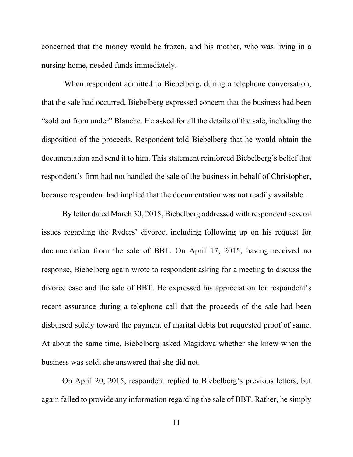concerned that the money would be frozen, and his mother, who was living in a nursing home, needed funds immediately.

When respondent admitted to Biebelberg, during a telephone conversation, that the sale had occurred, Biebelberg expressed concern that the business had been "sold out from under" Blanche. He asked for all the details of the sale, including the disposition of the proceeds. Respondent told Biebelberg that he would obtain the documentation and send it to him. This statement reinforced Biebelberg's belief that respondent's firm had not handled the sale of the business in behalf of Christopher, because respondent had implied that the documentation was not readily available.

By letter dated March 30, 2015, Biebelberg addressed with respondent several issues regarding the Ryders' divorce, including following up on his request for documentation from the sale of BBT. On April 17, 2015, having received no response, Biebelberg again wrote to respondent asking for a meeting to discuss the divorce case and the sale of BBT. He expressed his appreciation for respondent's recent assurance during a telephone call that the proceeds of the sale had been disbursed solely toward the payment of marital debts but requested proof of same. At about the same time, Biebelberg asked Magidova whether she knew when the business was sold; she answered that she did not.

On April 20, 2015, respondent replied to Biebelberg's previous letters, but again failed to provide any information regarding the sale of BBT. Rather, he simply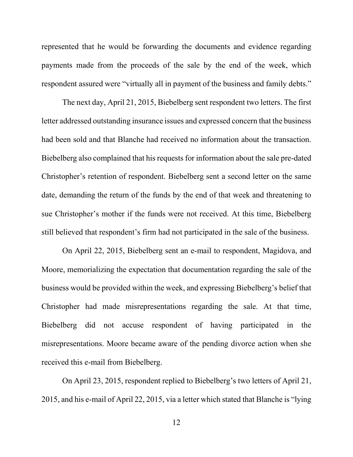represented that he would be forwarding the documents and evidence regarding payments made from the proceeds of the sale by the end of the week, which respondent assured were "virtually all in payment of the business and family debts."

The next day, April 21, 2015, Biebelberg sent respondent two letters. The first letter addressed outstanding insurance issues and expressed concern that the business had been sold and that Blanche had received no information about the transaction. Biebelberg also complained that his requests for information about the sale pre-dated Christopher's retention of respondent. Biebelberg sent a second letter on the same date, demanding the return of the funds by the end of that week and threatening to sue Christopher's mother if the funds were not received. At this time, Biebelberg still believed that respondent's firm had not participated in the sale of the business.

On April 22, 2015, Biebelberg sent an e-mail to respondent, Magidova, and Moore, memorializing the expectation that documentation regarding the sale of the business would be provided within the week, and expressing Biebelberg's belief that Christopher had made misrepresentations regarding the sale. At that time, Biebelberg did not accuse respondent of having participated in the misrepresentations. Moore became aware of the pending divorce action when she received this e-mail from Biebelberg.

On April 23, 2015, respondent replied to Biebelberg's two letters of April 21, 2015, and his e-mail of April 22, 2015, via a letter which stated that Blanche is "lying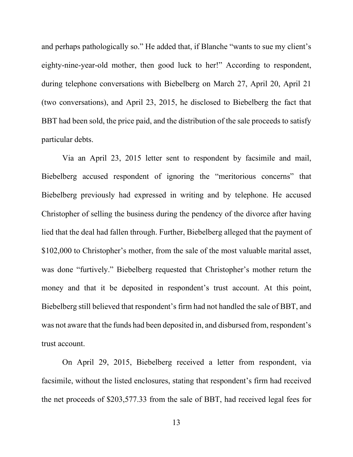and perhaps pathologically so." He added that, if Blanche "wants to sue my client's eighty-nine-year-old mother, then good luck to her!" According to respondent, during telephone conversations with Biebelberg on March 27, April 20, April 21 (two conversations), and April 23, 2015, he disclosed to Biebelberg the fact that BBT had been sold, the price paid, and the distribution of the sale proceeds to satisfy particular debts.

Via an April 23, 2015 letter sent to respondent by facsimile and mail, Biebelberg accused respondent of ignoring the "meritorious concerns" that Biebelberg previously had expressed in writing and by telephone. He accused Christopher of selling the business during the pendency of the divorce after having lied that the deal had fallen through. Further, Biebelberg alleged that the payment of \$102,000 to Christopher's mother, from the sale of the most valuable marital asset, was done "furtively." Biebelberg requested that Christopher's mother return the money and that it be deposited in respondent's trust account. At this point, Biebelberg still believed that respondent's firm had not handled the sale of BBT, and was not aware that the funds had been deposited in, and disbursed from, respondent's trust account.

On April 29, 2015, Biebelberg received a letter from respondent, via facsimile, without the listed enclosures, stating that respondent's firm had received the net proceeds of \$203,577.33 from the sale of BBT, had received legal fees for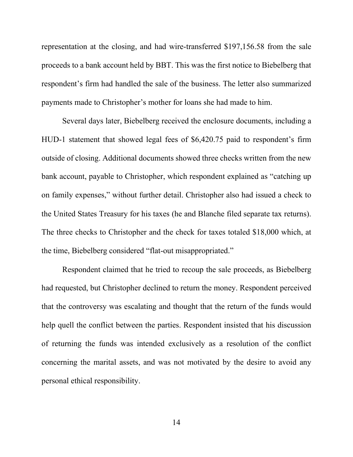representation at the closing, and had wire-transferred \$197,156.58 from the sale proceeds to a bank account held by BBT. This was the first notice to Biebelberg that respondent's firm had handled the sale of the business. The letter also summarized payments made to Christopher's mother for loans she had made to him.

Several days later, Biebelberg received the enclosure documents, including a HUD-1 statement that showed legal fees of \$6,420.75 paid to respondent's firm outside of closing. Additional documents showed three checks written from the new bank account, payable to Christopher, which respondent explained as "catching up on family expenses," without further detail. Christopher also had issued a check to the United States Treasury for his taxes (he and Blanche filed separate tax returns). The three checks to Christopher and the check for taxes totaled \$18,000 which, at the time, Biebelberg considered "flat-out misappropriated."

Respondent claimed that he tried to recoup the sale proceeds, as Biebelberg had requested, but Christopher declined to return the money. Respondent perceived that the controversy was escalating and thought that the return of the funds would help quell the conflict between the parties. Respondent insisted that his discussion of returning the funds was intended exclusively as a resolution of the conflict concerning the marital assets, and was not motivated by the desire to avoid any personal ethical responsibility.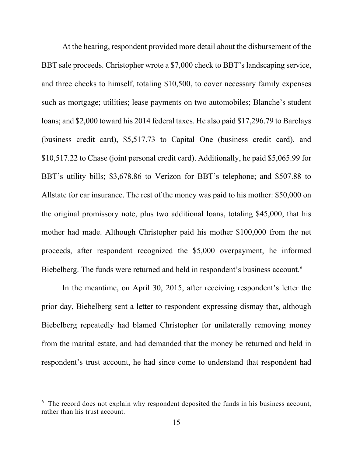At the hearing, respondent provided more detail about the disbursement of the BBT sale proceeds. Christopher wrote a \$7,000 check to BBT's landscaping service, and three checks to himself, totaling \$10,500, to cover necessary family expenses such as mortgage; utilities; lease payments on two automobiles; Blanche's student loans; and \$2,000 toward his 2014 federal taxes. He also paid \$17,296.79 to Barclays (business credit card), \$5,517.73 to Capital One (business credit card), and \$10,517.22 to Chase (joint personal credit card). Additionally, he paid \$5,065.99 for BBT's utility bills; \$3,678.86 to Verizon for BBT's telephone; and \$507.88 to Allstate for car insurance. The rest of the money was paid to his mother: \$50,000 on the original promissory note, plus two additional loans, totaling \$45,000, that his mother had made. Although Christopher paid his mother \$100,000 from the net proceeds, after respondent recognized the \$5,000 overpayment, he informed Biebelberg. The funds were returned and held in respondent's business account.<sup>[6](#page-14-0)</sup>

In the meantime, on April 30, 2015, after receiving respondent's letter the prior day, Biebelberg sent a letter to respondent expressing dismay that, although Biebelberg repeatedly had blamed Christopher for unilaterally removing money from the marital estate, and had demanded that the money be returned and held in respondent's trust account, he had since come to understand that respondent had

<span id="page-14-0"></span> $6$  The record does not explain why respondent deposited the funds in his business account, rather than his trust account.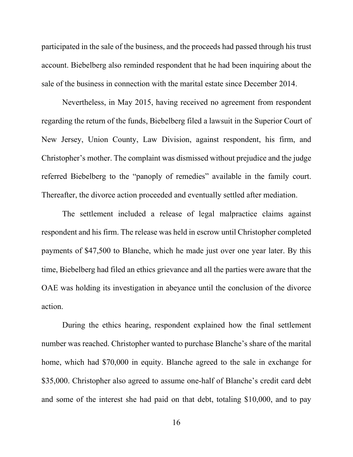participated in the sale of the business, and the proceeds had passed through his trust account. Biebelberg also reminded respondent that he had been inquiring about the sale of the business in connection with the marital estate since December 2014.

Nevertheless, in May 2015, having received no agreement from respondent regarding the return of the funds, Biebelberg filed a lawsuit in the Superior Court of New Jersey, Union County, Law Division, against respondent, his firm, and Christopher's mother. The complaint was dismissed without prejudice and the judge referred Biebelberg to the "panoply of remedies" available in the family court. Thereafter, the divorce action proceeded and eventually settled after mediation.

The settlement included a release of legal malpractice claims against respondent and his firm. The release was held in escrow until Christopher completed payments of \$47,500 to Blanche, which he made just over one year later. By this time, Biebelberg had filed an ethics grievance and all the parties were aware that the OAE was holding its investigation in abeyance until the conclusion of the divorce action.

During the ethics hearing, respondent explained how the final settlement number was reached. Christopher wanted to purchase Blanche's share of the marital home, which had \$70,000 in equity. Blanche agreed to the sale in exchange for \$35,000. Christopher also agreed to assume one-half of Blanche's credit card debt and some of the interest she had paid on that debt, totaling \$10,000, and to pay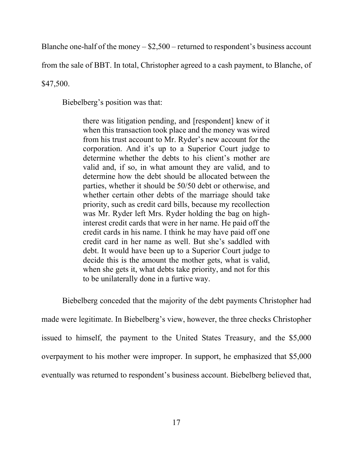Blanche one-half of the money  $-\$2,500$  – returned to respondent's business account

from the sale of BBT. In total, Christopher agreed to a cash payment, to Blanche, of

\$47,500.

Biebelberg's position was that:

there was litigation pending, and [respondent] knew of it when this transaction took place and the money was wired from his trust account to Mr. Ryder's new account for the corporation. And it's up to a Superior Court judge to determine whether the debts to his client's mother are valid and, if so, in what amount they are valid, and to determine how the debt should be allocated between the parties, whether it should be 50/50 debt or otherwise, and whether certain other debts of the marriage should take priority, such as credit card bills, because my recollection was Mr. Ryder left Mrs. Ryder holding the bag on highinterest credit cards that were in her name. He paid off the credit cards in his name. I think he may have paid off one credit card in her name as well. But she's saddled with debt. It would have been up to a Superior Court judge to decide this is the amount the mother gets, what is valid, when she gets it, what debts take priority, and not for this to be unilaterally done in a furtive way.

Biebelberg conceded that the majority of the debt payments Christopher had made were legitimate. In Biebelberg's view, however, the three checks Christopher issued to himself, the payment to the United States Treasury, and the \$5,000 overpayment to his mother were improper. In support, he emphasized that \$5,000 eventually was returned to respondent's business account. Biebelberg believed that,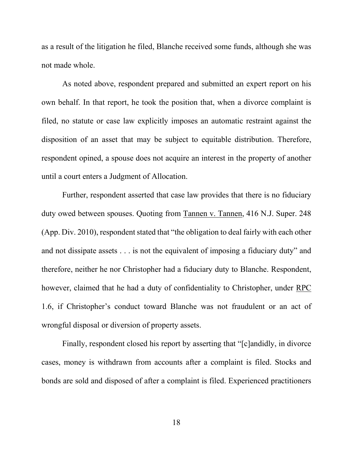as a result of the litigation he filed, Blanche received some funds, although she was not made whole.

As noted above, respondent prepared and submitted an expert report on his own behalf. In that report, he took the position that, when a divorce complaint is filed, no statute or case law explicitly imposes an automatic restraint against the disposition of an asset that may be subject to equitable distribution. Therefore, respondent opined, a spouse does not acquire an interest in the property of another until a court enters a Judgment of Allocation.

Further, respondent asserted that case law provides that there is no fiduciary duty owed between spouses. Quoting from Tannen v. Tannen, 416 N.J. Super. 248 (App. Div. 2010), respondent stated that "the obligation to deal fairly with each other and not dissipate assets . . . is not the equivalent of imposing a fiduciary duty" and therefore, neither he nor Christopher had a fiduciary duty to Blanche. Respondent, however, claimed that he had a duty of confidentiality to Christopher, under RPC 1.6, if Christopher's conduct toward Blanche was not fraudulent or an act of wrongful disposal or diversion of property assets.

Finally, respondent closed his report by asserting that "[c]andidly, in divorce cases, money is withdrawn from accounts after a complaint is filed. Stocks and bonds are sold and disposed of after a complaint is filed. Experienced practitioners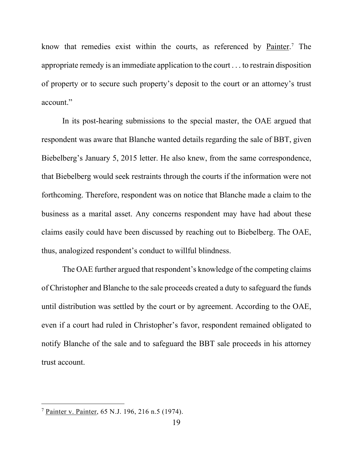know that remedies exist within the courts, as referenced by Painter.<sup>[7](#page-18-0)</sup> The appropriate remedy is an immediate application to the court . . . to restrain disposition of property or to secure such property's deposit to the court or an attorney's trust account."

In its post-hearing submissions to the special master, the OAE argued that respondent was aware that Blanche wanted details regarding the sale of BBT, given Biebelberg's January 5, 2015 letter. He also knew, from the same correspondence, that Biebelberg would seek restraints through the courts if the information were not forthcoming. Therefore, respondent was on notice that Blanche made a claim to the business as a marital asset. Any concerns respondent may have had about these claims easily could have been discussed by reaching out to Biebelberg. The OAE, thus, analogized respondent's conduct to willful blindness.

The OAE further argued that respondent's knowledge of the competing claims of Christopher and Blanche to the sale proceeds created a duty to safeguard the funds until distribution was settled by the court or by agreement. According to the OAE, even if a court had ruled in Christopher's favor, respondent remained obligated to notify Blanche of the sale and to safeguard the BBT sale proceeds in his attorney trust account.

<span id="page-18-0"></span><sup>7</sup> Painter v. Painter, 65 N.J. 196, 216 n.5 (1974).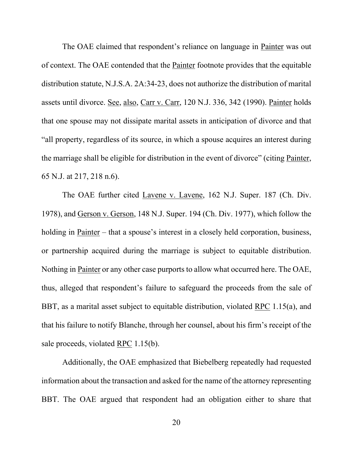The OAE claimed that respondent's reliance on language in Painter was out of context. The OAE contended that the Painter footnote provides that the equitable distribution statute, N.J.S.A. 2A:34-23, does not authorize the distribution of marital assets until divorce. See, also, Carr v. Carr, 120 N.J. 336, 342 (1990). Painter holds that one spouse may not dissipate marital assets in anticipation of divorce and that "all property, regardless of its source, in which a spouse acquires an interest during the marriage shall be eligible for distribution in the event of divorce" (citing Painter, 65 N.J. at 217, 218 n.6).

The OAE further cited Lavene v. Lavene, 162 N.J. Super. 187 (Ch. Div. 1978), and Gerson v. Gerson, 148 N.J. Super. 194 (Ch. Div. 1977), which follow the holding in Painter – that a spouse's interest in a closely held corporation, business, or partnership acquired during the marriage is subject to equitable distribution. Nothing in Painter or any other case purports to allow what occurred here. The OAE, thus, alleged that respondent's failure to safeguard the proceeds from the sale of BBT, as a marital asset subject to equitable distribution, violated RPC 1.15(a), and that his failure to notify Blanche, through her counsel, about his firm's receipt of the sale proceeds, violated RPC 1.15(b).

Additionally, the OAE emphasized that Biebelberg repeatedly had requested information about the transaction and asked for the name of the attorney representing BBT. The OAE argued that respondent had an obligation either to share that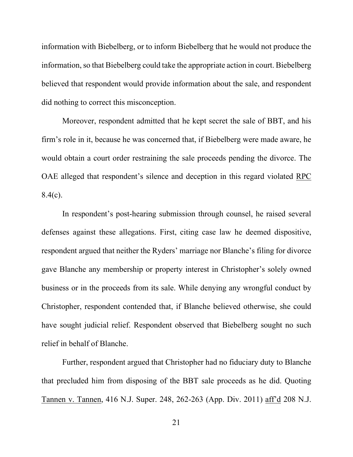information with Biebelberg, or to inform Biebelberg that he would not produce the information, so that Biebelberg could take the appropriate action in court. Biebelberg believed that respondent would provide information about the sale, and respondent did nothing to correct this misconception.

Moreover, respondent admitted that he kept secret the sale of BBT, and his firm's role in it, because he was concerned that, if Biebelberg were made aware, he would obtain a court order restraining the sale proceeds pending the divorce. The OAE alleged that respondent's silence and deception in this regard violated RPC  $8.4(c)$ .

In respondent's post-hearing submission through counsel, he raised several defenses against these allegations. First, citing case law he deemed dispositive, respondent argued that neither the Ryders' marriage nor Blanche's filing for divorce gave Blanche any membership or property interest in Christopher's solely owned business or in the proceeds from its sale. While denying any wrongful conduct by Christopher, respondent contended that, if Blanche believed otherwise, she could have sought judicial relief. Respondent observed that Biebelberg sought no such relief in behalf of Blanche.

Further, respondent argued that Christopher had no fiduciary duty to Blanche that precluded him from disposing of the BBT sale proceeds as he did. Quoting Tannen v. Tannen, 416 N.J. Super. 248, 262-263 (App. Div. 2011) aff'd 208 N.J.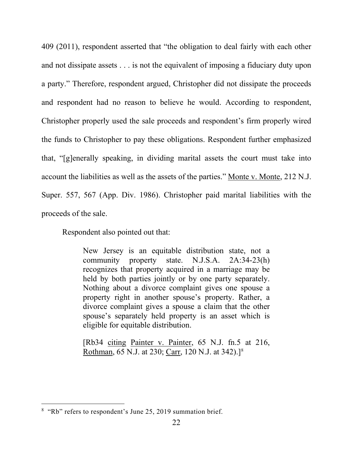409 (2011), respondent asserted that "the obligation to deal fairly with each other and not dissipate assets . . . is not the equivalent of imposing a fiduciary duty upon a party." Therefore, respondent argued, Christopher did not dissipate the proceeds and respondent had no reason to believe he would. According to respondent, Christopher properly used the sale proceeds and respondent's firm properly wired the funds to Christopher to pay these obligations. Respondent further emphasized that, "[g]enerally speaking, in dividing marital assets the court must take into account the liabilities as well as the assets of the parties." Monte v. Monte, 212 N.J. Super. 557, 567 (App. Div. 1986). Christopher paid marital liabilities with the proceeds of the sale.

Respondent also pointed out that:

New Jersey is an equitable distribution state, not a community property state. N.J.S.A. 2A:34-23(h) recognizes that property acquired in a marriage may be held by both parties jointly or by one party separately. Nothing about a divorce complaint gives one spouse a property right in another spouse's property. Rather, a divorce complaint gives a spouse a claim that the other spouse's separately held property is an asset which is eligible for equitable distribution.

[Rb34 citing Painter v. Painter, 65 N.J. fn.5 at 216, Rothman, 65 N.J. at 230; Carr, 120 N.J. at 342).][8](#page-21-0)

<span id="page-21-0"></span><sup>&</sup>lt;sup>8</sup> "Rb" refers to respondent's June 25, 2019 summation brief.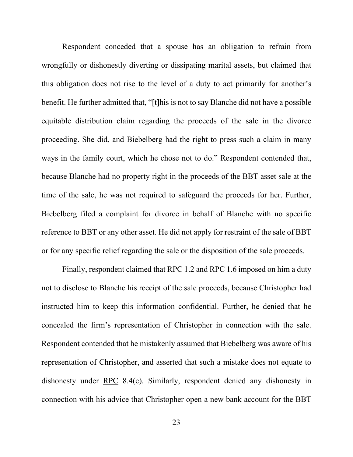Respondent conceded that a spouse has an obligation to refrain from wrongfully or dishonestly diverting or dissipating marital assets, but claimed that this obligation does not rise to the level of a duty to act primarily for another's benefit. He further admitted that, "[t]his is not to say Blanche did not have a possible equitable distribution claim regarding the proceeds of the sale in the divorce proceeding. She did, and Biebelberg had the right to press such a claim in many ways in the family court, which he chose not to do." Respondent contended that, because Blanche had no property right in the proceeds of the BBT asset sale at the time of the sale, he was not required to safeguard the proceeds for her. Further, Biebelberg filed a complaint for divorce in behalf of Blanche with no specific reference to BBT or any other asset. He did not apply for restraint of the sale of BBT or for any specific relief regarding the sale or the disposition of the sale proceeds.

Finally, respondent claimed that RPC 1.2 and RPC 1.6 imposed on him a duty not to disclose to Blanche his receipt of the sale proceeds, because Christopher had instructed him to keep this information confidential. Further, he denied that he concealed the firm's representation of Christopher in connection with the sale. Respondent contended that he mistakenly assumed that Biebelberg was aware of his representation of Christopher, and asserted that such a mistake does not equate to dishonesty under RPC 8.4(c). Similarly, respondent denied any dishonesty in connection with his advice that Christopher open a new bank account for the BBT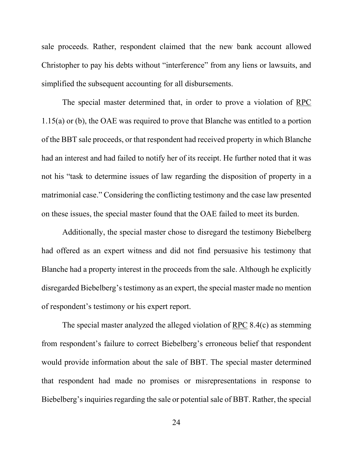sale proceeds. Rather, respondent claimed that the new bank account allowed Christopher to pay his debts without "interference" from any liens or lawsuits, and simplified the subsequent accounting for all disbursements.

The special master determined that, in order to prove a violation of RPC 1.15(a) or (b), the OAE was required to prove that Blanche was entitled to a portion of the BBT sale proceeds, or that respondent had received property in which Blanche had an interest and had failed to notify her of its receipt. He further noted that it was not his "task to determine issues of law regarding the disposition of property in a matrimonial case." Considering the conflicting testimony and the case law presented on these issues, the special master found that the OAE failed to meet its burden.

Additionally, the special master chose to disregard the testimony Biebelberg had offered as an expert witness and did not find persuasive his testimony that Blanche had a property interest in the proceeds from the sale. Although he explicitly disregarded Biebelberg's testimony as an expert, the special master made no mention of respondent's testimony or his expert report.

The special master analyzed the alleged violation of RPC 8.4(c) as stemming from respondent's failure to correct Biebelberg's erroneous belief that respondent would provide information about the sale of BBT. The special master determined that respondent had made no promises or misrepresentations in response to Biebelberg's inquiries regarding the sale or potential sale of BBT. Rather, the special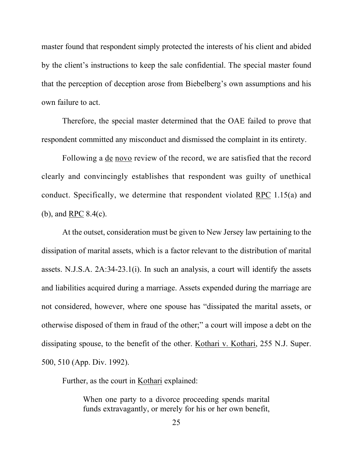master found that respondent simply protected the interests of his client and abided by the client's instructions to keep the sale confidential. The special master found that the perception of deception arose from Biebelberg's own assumptions and his own failure to act.

Therefore, the special master determined that the OAE failed to prove that respondent committed any misconduct and dismissed the complaint in its entirety.

Following a de novo review of the record, we are satisfied that the record clearly and convincingly establishes that respondent was guilty of unethical conduct. Specifically, we determine that respondent violated RPC 1.15(a) and (b), and RPC 8.4(c).

At the outset, consideration must be given to New Jersey law pertaining to the dissipation of marital assets, which is a factor relevant to the distribution of marital assets. N.J.S.A. 2A:34-23.1(i). In such an analysis, a court will identify the assets and liabilities acquired during a marriage. Assets expended during the marriage are not considered, however, where one spouse has "dissipated the marital assets, or otherwise disposed of them in fraud of the other;" a court will impose a debt on the dissipating spouse, to the benefit of the other. Kothari v. Kothari, 255 N.J. Super. 500, 510 (App. Div. 1992).

Further, as the court in Kothari explained:

When one party to a divorce proceeding spends marital funds extravagantly, or merely for his or her own benefit,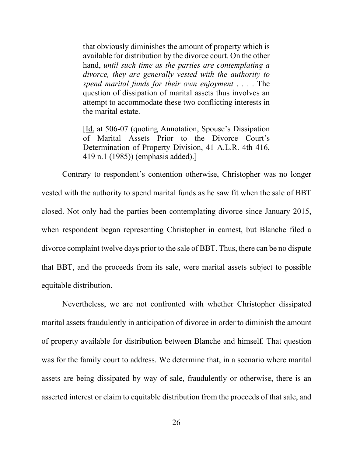that obviously diminishes the amount of property which is available for distribution by the divorce court. On the other hand, *until such time as the parties are contemplating a divorce, they are generally vested with the authority to spend marital funds for their own enjoyment* . . . . The question of dissipation of marital assets thus involves an attempt to accommodate these two conflicting interests in the marital estate.

[Id. at 506-07 (quoting Annotation, Spouse's Dissipation of Marital Assets Prior to the Divorce Court's Determination of Property Division, 41 A.L.R. 4th 416, 419 n.1 (1985)) (emphasis added).]

Contrary to respondent's contention otherwise, Christopher was no longer vested with the authority to spend marital funds as he saw fit when the sale of BBT closed. Not only had the parties been contemplating divorce since January 2015, when respondent began representing Christopher in earnest, but Blanche filed a divorce complaint twelve days prior to the sale of BBT. Thus, there can be no dispute that BBT, and the proceeds from its sale, were marital assets subject to possible equitable distribution.

Nevertheless, we are not confronted with whether Christopher dissipated marital assets fraudulently in anticipation of divorce in order to diminish the amount of property available for distribution between Blanche and himself. That question was for the family court to address. We determine that, in a scenario where marital assets are being dissipated by way of sale, fraudulently or otherwise, there is an asserted interest or claim to equitable distribution from the proceeds of that sale, and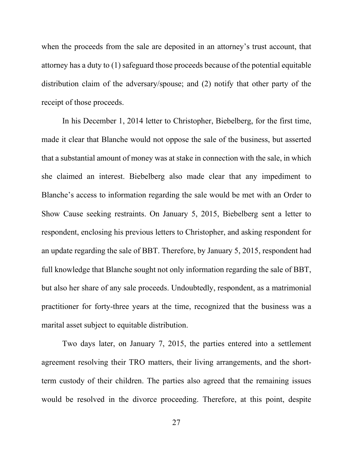when the proceeds from the sale are deposited in an attorney's trust account, that attorney has a duty to (1) safeguard those proceeds because of the potential equitable distribution claim of the adversary/spouse; and (2) notify that other party of the receipt of those proceeds.

In his December 1, 2014 letter to Christopher, Biebelberg, for the first time, made it clear that Blanche would not oppose the sale of the business, but asserted that a substantial amount of money was at stake in connection with the sale, in which she claimed an interest. Biebelberg also made clear that any impediment to Blanche's access to information regarding the sale would be met with an Order to Show Cause seeking restraints. On January 5, 2015, Biebelberg sent a letter to respondent, enclosing his previous letters to Christopher, and asking respondent for an update regarding the sale of BBT. Therefore, by January 5, 2015, respondent had full knowledge that Blanche sought not only information regarding the sale of BBT, but also her share of any sale proceeds. Undoubtedly, respondent, as a matrimonial practitioner for forty-three years at the time, recognized that the business was a marital asset subject to equitable distribution.

Two days later, on January 7, 2015, the parties entered into a settlement agreement resolving their TRO matters, their living arrangements, and the shortterm custody of their children. The parties also agreed that the remaining issues would be resolved in the divorce proceeding. Therefore, at this point, despite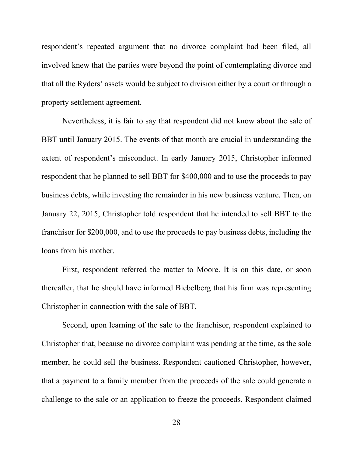respondent's repeated argument that no divorce complaint had been filed, all involved knew that the parties were beyond the point of contemplating divorce and that all the Ryders' assets would be subject to division either by a court or through a property settlement agreement.

Nevertheless, it is fair to say that respondent did not know about the sale of BBT until January 2015. The events of that month are crucial in understanding the extent of respondent's misconduct. In early January 2015, Christopher informed respondent that he planned to sell BBT for \$400,000 and to use the proceeds to pay business debts, while investing the remainder in his new business venture. Then, on January 22, 2015, Christopher told respondent that he intended to sell BBT to the franchisor for \$200,000, and to use the proceeds to pay business debts, including the loans from his mother.

First, respondent referred the matter to Moore. It is on this date, or soon thereafter, that he should have informed Biebelberg that his firm was representing Christopher in connection with the sale of BBT.

Second, upon learning of the sale to the franchisor, respondent explained to Christopher that, because no divorce complaint was pending at the time, as the sole member, he could sell the business. Respondent cautioned Christopher, however, that a payment to a family member from the proceeds of the sale could generate a challenge to the sale or an application to freeze the proceeds. Respondent claimed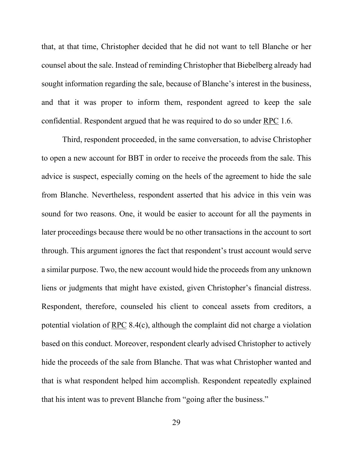that, at that time, Christopher decided that he did not want to tell Blanche or her counsel about the sale. Instead of reminding Christopher that Biebelberg already had sought information regarding the sale, because of Blanche's interest in the business, and that it was proper to inform them, respondent agreed to keep the sale confidential. Respondent argued that he was required to do so under RPC 1.6.

Third, respondent proceeded, in the same conversation, to advise Christopher to open a new account for BBT in order to receive the proceeds from the sale. This advice is suspect, especially coming on the heels of the agreement to hide the sale from Blanche. Nevertheless, respondent asserted that his advice in this vein was sound for two reasons. One, it would be easier to account for all the payments in later proceedings because there would be no other transactions in the account to sort through. This argument ignores the fact that respondent's trust account would serve a similar purpose. Two, the new account would hide the proceeds from any unknown liens or judgments that might have existed, given Christopher's financial distress. Respondent, therefore, counseled his client to conceal assets from creditors, a potential violation of RPC 8.4(c), although the complaint did not charge a violation based on this conduct. Moreover, respondent clearly advised Christopher to actively hide the proceeds of the sale from Blanche. That was what Christopher wanted and that is what respondent helped him accomplish. Respondent repeatedly explained that his intent was to prevent Blanche from "going after the business."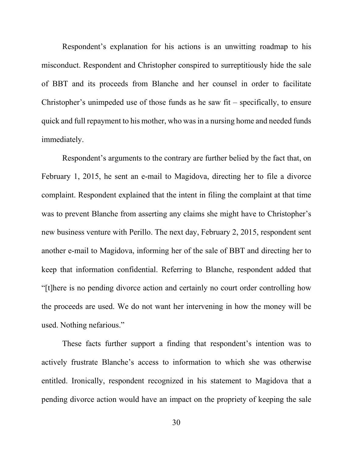Respondent's explanation for his actions is an unwitting roadmap to his misconduct. Respondent and Christopher conspired to surreptitiously hide the sale of BBT and its proceeds from Blanche and her counsel in order to facilitate Christopher's unimpeded use of those funds as he saw fit – specifically, to ensure quick and full repayment to his mother, who was in a nursing home and needed funds immediately.

Respondent's arguments to the contrary are further belied by the fact that, on February 1, 2015, he sent an e-mail to Magidova, directing her to file a divorce complaint. Respondent explained that the intent in filing the complaint at that time was to prevent Blanche from asserting any claims she might have to Christopher's new business venture with Perillo. The next day, February 2, 2015, respondent sent another e-mail to Magidova, informing her of the sale of BBT and directing her to keep that information confidential. Referring to Blanche, respondent added that "[t]here is no pending divorce action and certainly no court order controlling how the proceeds are used. We do not want her intervening in how the money will be used. Nothing nefarious."

These facts further support a finding that respondent's intention was to actively frustrate Blanche's access to information to which she was otherwise entitled. Ironically, respondent recognized in his statement to Magidova that a pending divorce action would have an impact on the propriety of keeping the sale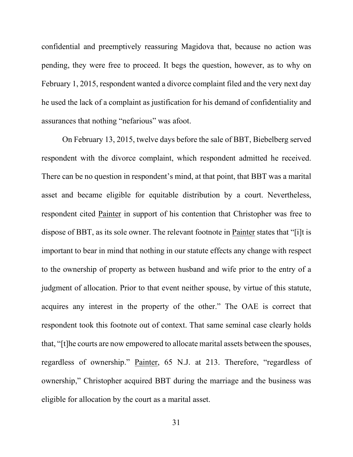confidential and preemptively reassuring Magidova that, because no action was pending, they were free to proceed. It begs the question, however, as to why on February 1, 2015, respondent wanted a divorce complaint filed and the very next day he used the lack of a complaint as justification for his demand of confidentiality and assurances that nothing "nefarious" was afoot.

On February 13, 2015, twelve days before the sale of BBT, Biebelberg served respondent with the divorce complaint, which respondent admitted he received. There can be no question in respondent's mind, at that point, that BBT was a marital asset and became eligible for equitable distribution by a court. Nevertheless, respondent cited Painter in support of his contention that Christopher was free to dispose of BBT, as its sole owner. The relevant footnote in Painter states that "[i]t is important to bear in mind that nothing in our statute effects any change with respect to the ownership of property as between husband and wife prior to the entry of a judgment of allocation. Prior to that event neither spouse, by virtue of this statute, acquires any interest in the property of the other." The OAE is correct that respondent took this footnote out of context. That same seminal case clearly holds that, "[t]he courts are now empowered to allocate marital assets between the spouses, regardless of ownership." Painter, 65 N.J. at 213. Therefore, "regardless of ownership," Christopher acquired BBT during the marriage and the business was eligible for allocation by the court as a marital asset.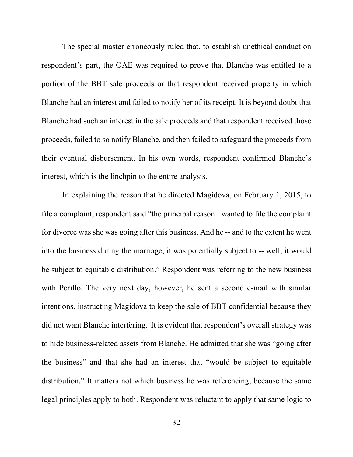The special master erroneously ruled that, to establish unethical conduct on respondent's part, the OAE was required to prove that Blanche was entitled to a portion of the BBT sale proceeds or that respondent received property in which Blanche had an interest and failed to notify her of its receipt. It is beyond doubt that Blanche had such an interest in the sale proceeds and that respondent received those proceeds, failed to so notify Blanche, and then failed to safeguard the proceeds from their eventual disbursement. In his own words, respondent confirmed Blanche's interest, which is the linchpin to the entire analysis.

In explaining the reason that he directed Magidova, on February 1, 2015, to file a complaint, respondent said "the principal reason I wanted to file the complaint for divorce was she was going after this business. And he -- and to the extent he went into the business during the marriage, it was potentially subject to -- well, it would be subject to equitable distribution." Respondent was referring to the new business with Perillo. The very next day, however, he sent a second e-mail with similar intentions, instructing Magidova to keep the sale of BBT confidential because they did not want Blanche interfering. It is evident that respondent's overall strategy was to hide business-related assets from Blanche. He admitted that she was "going after the business" and that she had an interest that "would be subject to equitable distribution." It matters not which business he was referencing, because the same legal principles apply to both. Respondent was reluctant to apply that same logic to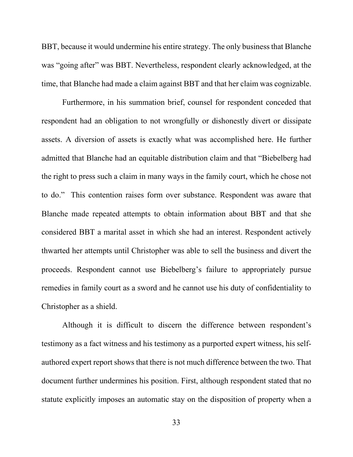BBT, because it would undermine his entire strategy. The only business that Blanche was "going after" was BBT. Nevertheless, respondent clearly acknowledged, at the time, that Blanche had made a claim against BBT and that her claim was cognizable.

Furthermore, in his summation brief, counsel for respondent conceded that respondent had an obligation to not wrongfully or dishonestly divert or dissipate assets. A diversion of assets is exactly what was accomplished here. He further admitted that Blanche had an equitable distribution claim and that "Biebelberg had the right to press such a claim in many ways in the family court, which he chose not to do." This contention raises form over substance. Respondent was aware that Blanche made repeated attempts to obtain information about BBT and that she considered BBT a marital asset in which she had an interest. Respondent actively thwarted her attempts until Christopher was able to sell the business and divert the proceeds. Respondent cannot use Biebelberg's failure to appropriately pursue remedies in family court as a sword and he cannot use his duty of confidentiality to Christopher as a shield.

Although it is difficult to discern the difference between respondent's testimony as a fact witness and his testimony as a purported expert witness, his selfauthored expert report shows that there is not much difference between the two. That document further undermines his position. First, although respondent stated that no statute explicitly imposes an automatic stay on the disposition of property when a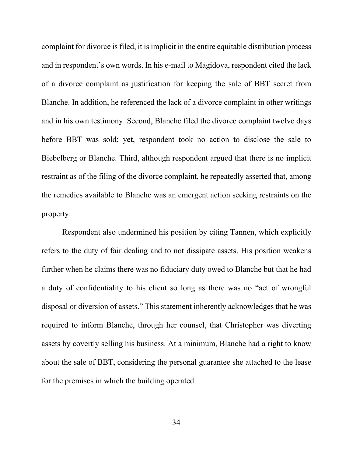complaint for divorce is filed, it is implicit in the entire equitable distribution process and in respondent's own words. In his e-mail to Magidova, respondent cited the lack of a divorce complaint as justification for keeping the sale of BBT secret from Blanche. In addition, he referenced the lack of a divorce complaint in other writings and in his own testimony. Second, Blanche filed the divorce complaint twelve days before BBT was sold; yet, respondent took no action to disclose the sale to Biebelberg or Blanche. Third, although respondent argued that there is no implicit restraint as of the filing of the divorce complaint, he repeatedly asserted that, among the remedies available to Blanche was an emergent action seeking restraints on the property.

Respondent also undermined his position by citing Tannen, which explicitly refers to the duty of fair dealing and to not dissipate assets. His position weakens further when he claims there was no fiduciary duty owed to Blanche but that he had a duty of confidentiality to his client so long as there was no "act of wrongful disposal or diversion of assets." This statement inherently acknowledges that he was required to inform Blanche, through her counsel, that Christopher was diverting assets by covertly selling his business. At a minimum, Blanche had a right to know about the sale of BBT, considering the personal guarantee she attached to the lease for the premises in which the building operated.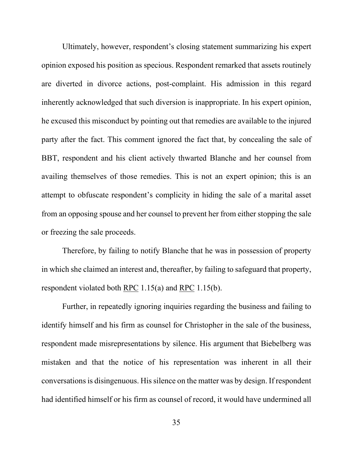Ultimately, however, respondent's closing statement summarizing his expert opinion exposed his position as specious. Respondent remarked that assets routinely are diverted in divorce actions, post-complaint. His admission in this regard inherently acknowledged that such diversion is inappropriate. In his expert opinion, he excused this misconduct by pointing out that remedies are available to the injured party after the fact. This comment ignored the fact that, by concealing the sale of BBT, respondent and his client actively thwarted Blanche and her counsel from availing themselves of those remedies. This is not an expert opinion; this is an attempt to obfuscate respondent's complicity in hiding the sale of a marital asset from an opposing spouse and her counsel to prevent her from either stopping the sale or freezing the sale proceeds.

Therefore, by failing to notify Blanche that he was in possession of property in which she claimed an interest and, thereafter, by failing to safeguard that property, respondent violated both  $RPC$  1.15(a) and  $RPC$  1.15(b).

Further, in repeatedly ignoring inquiries regarding the business and failing to identify himself and his firm as counsel for Christopher in the sale of the business, respondent made misrepresentations by silence. His argument that Biebelberg was mistaken and that the notice of his representation was inherent in all their conversations is disingenuous. His silence on the matter was by design. If respondent had identified himself or his firm as counsel of record, it would have undermined all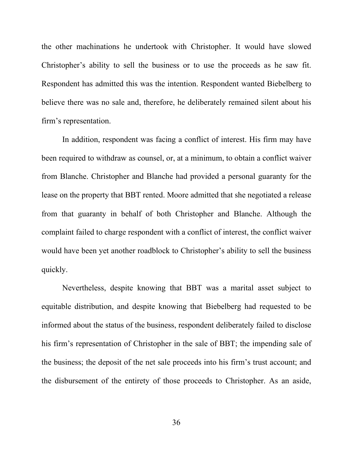the other machinations he undertook with Christopher. It would have slowed Christopher's ability to sell the business or to use the proceeds as he saw fit. Respondent has admitted this was the intention. Respondent wanted Biebelberg to believe there was no sale and, therefore, he deliberately remained silent about his firm's representation.

In addition, respondent was facing a conflict of interest. His firm may have been required to withdraw as counsel, or, at a minimum, to obtain a conflict waiver from Blanche. Christopher and Blanche had provided a personal guaranty for the lease on the property that BBT rented. Moore admitted that she negotiated a release from that guaranty in behalf of both Christopher and Blanche. Although the complaint failed to charge respondent with a conflict of interest, the conflict waiver would have been yet another roadblock to Christopher's ability to sell the business quickly.

Nevertheless, despite knowing that BBT was a marital asset subject to equitable distribution, and despite knowing that Biebelberg had requested to be informed about the status of the business, respondent deliberately failed to disclose his firm's representation of Christopher in the sale of BBT; the impending sale of the business; the deposit of the net sale proceeds into his firm's trust account; and the disbursement of the entirety of those proceeds to Christopher. As an aside,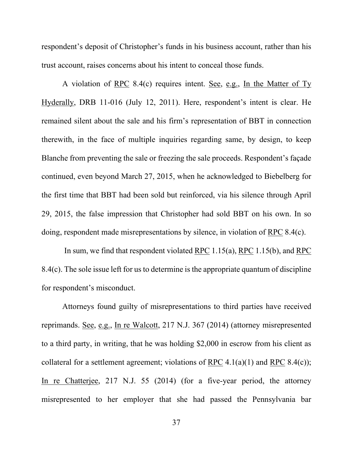respondent's deposit of Christopher's funds in his business account, rather than his trust account, raises concerns about his intent to conceal those funds.

A violation of RPC 8.4(c) requires intent. See, e.g., In the Matter of Ty Hyderally, DRB 11-016 (July 12, 2011). Here, respondent's intent is clear. He remained silent about the sale and his firm's representation of BBT in connection therewith, in the face of multiple inquiries regarding same, by design, to keep Blanche from preventing the sale or freezing the sale proceeds. Respondent's façade continued, even beyond March 27, 2015, when he acknowledged to Biebelberg for the first time that BBT had been sold but reinforced, via his silence through April 29, 2015, the false impression that Christopher had sold BBT on his own. In so doing, respondent made misrepresentations by silence, in violation of RPC 8.4(c).

In sum, we find that respondent violated RPC 1.15(a), RPC 1.15(b), and RPC 8.4(c). The sole issue left for us to determine is the appropriate quantum of discipline for respondent's misconduct.

Attorneys found guilty of misrepresentations to third parties have received reprimands. See, e.g., In re Walcott, 217 N.J. 367 (2014) (attorney misrepresented to a third party, in writing, that he was holding \$2,000 in escrow from his client as collateral for a settlement agreement; violations of RPC  $4.1(a)(1)$  and RPC  $8.4(c)$ ; In re Chatterjee, 217 N.J. 55 (2014) (for a five-year period, the attorney misrepresented to her employer that she had passed the Pennsylvania bar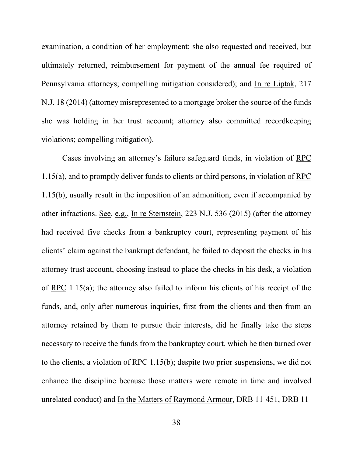examination, a condition of her employment; she also requested and received, but ultimately returned, reimbursement for payment of the annual fee required of Pennsylvania attorneys; compelling mitigation considered); and In re Liptak, 217 N.J. 18 (2014) (attorney misrepresented to a mortgage broker the source of the funds she was holding in her trust account; attorney also committed recordkeeping violations; compelling mitigation).

Cases involving an attorney's failure safeguard funds, in violation of RPC 1.15(a), and to promptly deliver funds to clients or third persons, in violation of RPC 1.15(b), usually result in the imposition of an admonition, even if accompanied by other infractions. See, e.g., In re Sternstein, 223 N.J. 536 (2015) (after the attorney had received five checks from a bankruptcy court, representing payment of his clients' claim against the bankrupt defendant, he failed to deposit the checks in his attorney trust account, choosing instead to place the checks in his desk, a violation of RPC 1.15(a); the attorney also failed to inform his clients of his receipt of the funds, and, only after numerous inquiries, first from the clients and then from an attorney retained by them to pursue their interests, did he finally take the steps necessary to receive the funds from the bankruptcy court, which he then turned over to the clients, a violation of RPC 1.15(b); despite two prior suspensions, we did not enhance the discipline because those matters were remote in time and involved unrelated conduct) and In the Matters of Raymond Armour, DRB 11-451, DRB 11-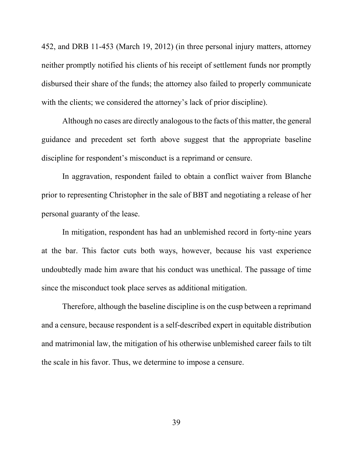452, and DRB 11-453 (March 19, 2012) (in three personal injury matters, attorney neither promptly notified his clients of his receipt of settlement funds nor promptly disbursed their share of the funds; the attorney also failed to properly communicate with the clients; we considered the attorney's lack of prior discipline).

Although no cases are directly analogous to the facts of this matter, the general guidance and precedent set forth above suggest that the appropriate baseline discipline for respondent's misconduct is a reprimand or censure.

In aggravation, respondent failed to obtain a conflict waiver from Blanche prior to representing Christopher in the sale of BBT and negotiating a release of her personal guaranty of the lease.

In mitigation, respondent has had an unblemished record in forty-nine years at the bar. This factor cuts both ways, however, because his vast experience undoubtedly made him aware that his conduct was unethical. The passage of time since the misconduct took place serves as additional mitigation.

Therefore, although the baseline discipline is on the cusp between a reprimand and a censure, because respondent is a self-described expert in equitable distribution and matrimonial law, the mitigation of his otherwise unblemished career fails to tilt the scale in his favor. Thus, we determine to impose a censure.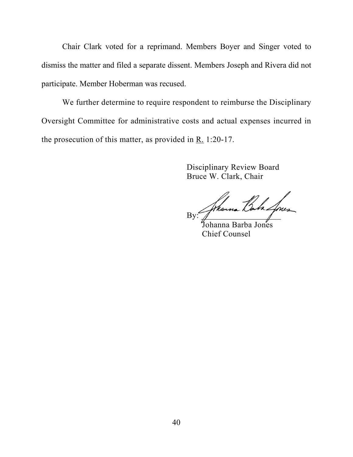Chair Clark voted for a reprimand. Members Boyer and Singer voted to dismiss the matter and filed a separate dissent. Members Joseph and Rivera did not participate. Member Hoberman was recused.

We further determine to require respondent to reimburse the Disciplinary Oversight Committee for administrative costs and actual expenses incurred in the prosecution of this matter, as provided in R. 1:20-17.

> Disciplinary Review Board Bruce W. Clark, Chair

By: Johanna Bala Jones

 Johanna Barba Jones Chief Counsel